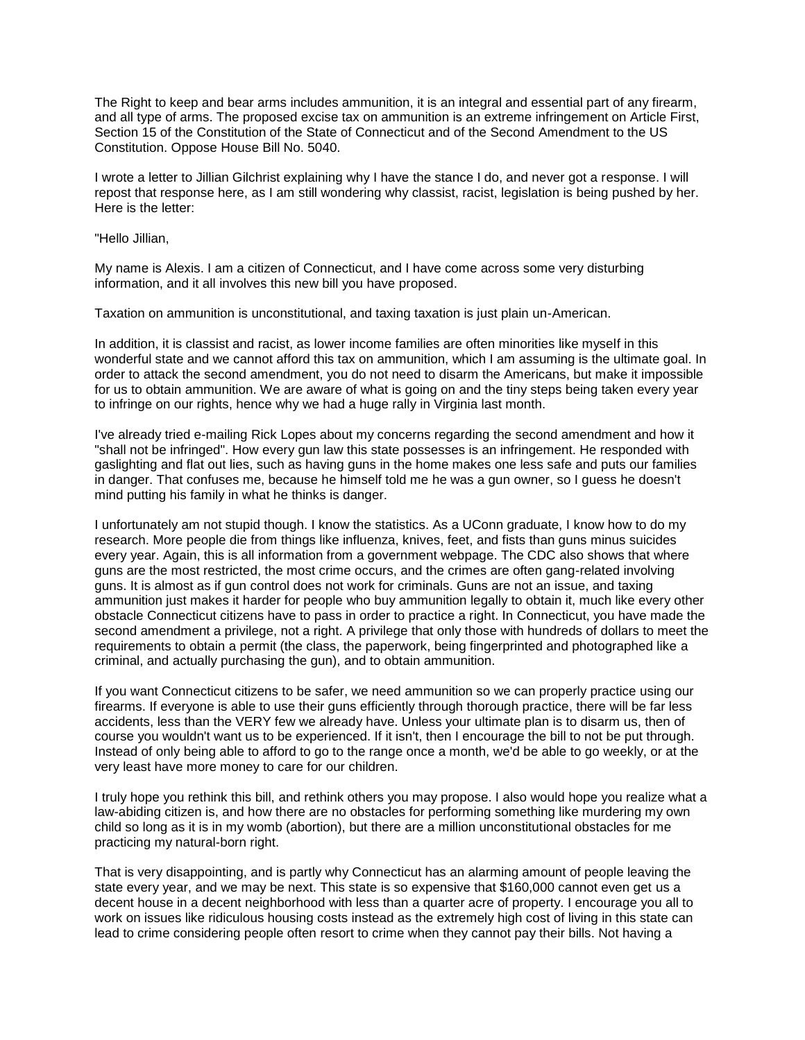The Right to keep and bear arms includes ammunition, it is an integral and essential part of any firearm, and all type of arms. The proposed excise tax on ammunition is an extreme infringement on Article First, Section 15 of the Constitution of the State of Connecticut and of the Second Amendment to the US Constitution. Oppose House Bill No. 5040.

I wrote a letter to Jillian Gilchrist explaining why I have the stance I do, and never got a response. I will repost that response here, as I am still wondering why classist, racist, legislation is being pushed by her. Here is the letter:

"Hello Jillian,

My name is Alexis. I am a citizen of Connecticut, and I have come across some very disturbing information, and it all involves this new bill you have proposed.

Taxation on ammunition is unconstitutional, and taxing taxation is just plain un-American.

In addition, it is classist and racist, as lower income families are often minorities like myself in this wonderful state and we cannot afford this tax on ammunition, which I am assuming is the ultimate goal. In order to attack the second amendment, you do not need to disarm the Americans, but make it impossible for us to obtain ammunition. We are aware of what is going on and the tiny steps being taken every year to infringe on our rights, hence why we had a huge rally in Virginia last month.

I've already tried e-mailing Rick Lopes about my concerns regarding the second amendment and how it "shall not be infringed". How every gun law this state possesses is an infringement. He responded with gaslighting and flat out lies, such as having guns in the home makes one less safe and puts our families in danger. That confuses me, because he himself told me he was a gun owner, so I guess he doesn't mind putting his family in what he thinks is danger.

I unfortunately am not stupid though. I know the statistics. As a UConn graduate, I know how to do my research. More people die from things like influenza, knives, feet, and fists than guns minus suicides every year. Again, this is all information from a government webpage. The CDC also shows that where guns are the most restricted, the most crime occurs, and the crimes are often gang-related involving guns. It is almost as if gun control does not work for criminals. Guns are not an issue, and taxing ammunition just makes it harder for people who buy ammunition legally to obtain it, much like every other obstacle Connecticut citizens have to pass in order to practice a right. In Connecticut, you have made the second amendment a privilege, not a right. A privilege that only those with hundreds of dollars to meet the requirements to obtain a permit (the class, the paperwork, being fingerprinted and photographed like a criminal, and actually purchasing the gun), and to obtain ammunition.

If you want Connecticut citizens to be safer, we need ammunition so we can properly practice using our firearms. If everyone is able to use their guns efficiently through thorough practice, there will be far less accidents, less than the VERY few we already have. Unless your ultimate plan is to disarm us, then of course you wouldn't want us to be experienced. If it isn't, then I encourage the bill to not be put through. Instead of only being able to afford to go to the range once a month, we'd be able to go weekly, or at the very least have more money to care for our children.

I truly hope you rethink this bill, and rethink others you may propose. I also would hope you realize what a law-abiding citizen is, and how there are no obstacles for performing something like murdering my own child so long as it is in my womb (abortion), but there are a million unconstitutional obstacles for me practicing my natural-born right.

That is very disappointing, and is partly why Connecticut has an alarming amount of people leaving the state every year, and we may be next. This state is so expensive that \$160,000 cannot even get us a decent house in a decent neighborhood with less than a quarter acre of property. I encourage you all to work on issues like ridiculous housing costs instead as the extremely high cost of living in this state can lead to crime considering people often resort to crime when they cannot pay their bills. Not having a